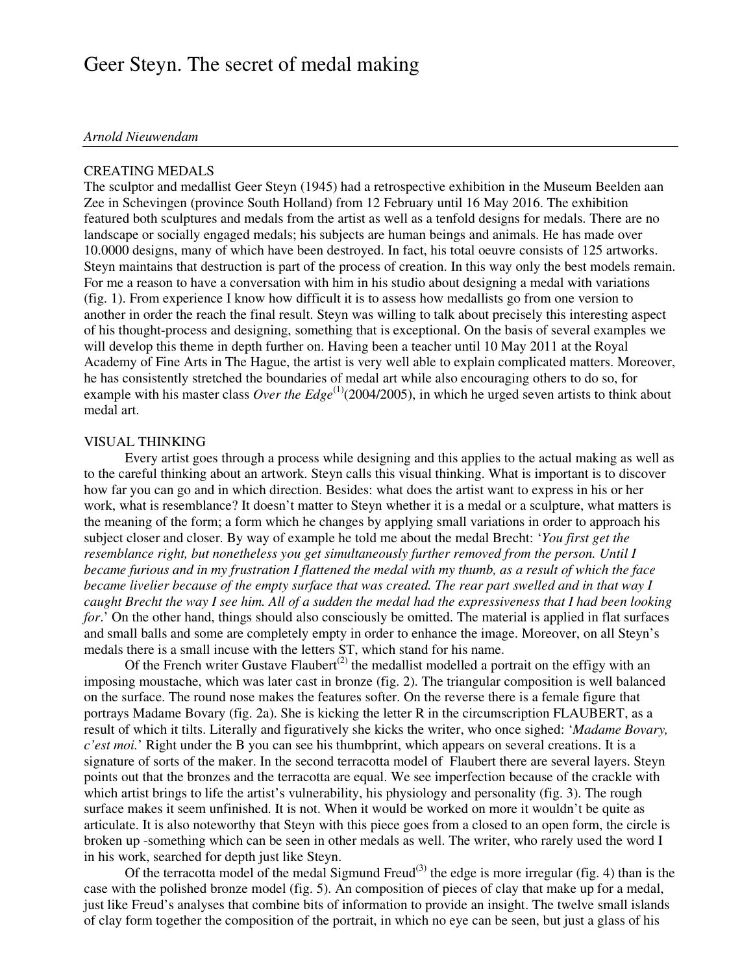# Geer Steyn. The secret of medal making

### *Arnold Nieuwendam*

#### CREATING MEDALS

The sculptor and medallist Geer Steyn (1945) had a retrospective exhibition in the Museum Beelden aan Zee in Schevingen (province South Holland) from 12 February until 16 May 2016. The exhibition featured both sculptures and medals from the artist as well as a tenfold designs for medals. There are no landscape or socially engaged medals; his subjects are human beings and animals. He has made over 10.0000 designs, many of which have been destroyed. In fact, his total oeuvre consists of 125 artworks. Steyn maintains that destruction is part of the process of creation. In this way only the best models remain. For me a reason to have a conversation with him in his studio about designing a medal with variations (fig. 1). From experience I know how difficult it is to assess how medallists go from one version to another in order the reach the final result. Steyn was willing to talk about precisely this interesting aspect of his thought-process and designing, something that is exceptional. On the basis of several examples we will develop this theme in depth further on. Having been a teacher until 10 May 2011 at the Royal Academy of Fine Arts in The Hague, the artist is very well able to explain complicated matters. Moreover, he has consistently stretched the boundaries of medal art while also encouraging others to do so, for example with his master class *Over the Edge*<sup>(1)</sup>(2004/2005), in which he urged seven artists to think about medal art.

#### VISUAL THINKING

 Every artist goes through a process while designing and this applies to the actual making as well as to the careful thinking about an artwork. Steyn calls this visual thinking. What is important is to discover how far you can go and in which direction. Besides: what does the artist want to express in his or her work, what is resemblance? It doesn't matter to Steyn whether it is a medal or a sculpture, what matters is the meaning of the form; a form which he changes by applying small variations in order to approach his subject closer and closer. By way of example he told me about the medal Brecht: '*You first get the resemblance right, but nonetheless you get simultaneously further removed from the person. Until I became furious and in my frustration I flattened the medal with my thumb, as a result of which the face became livelier because of the empty surface that was created. The rear part swelled and in that way I caught Brecht the way I see him. All of a sudden the medal had the expressiveness that I had been looking for*.' On the other hand, things should also consciously be omitted. The material is applied in flat surfaces and small balls and some are completely empty in order to enhance the image. Moreover, on all Steyn's medals there is a small incuse with the letters ST, which stand for his name.

Of the French writer Gustave Flaubert<sup>(2)</sup> the medallist modelled a portrait on the effigy with an imposing moustache, which was later cast in bronze (fig. 2). The triangular composition is well balanced on the surface. The round nose makes the features softer. On the reverse there is a female figure that portrays Madame Bovary (fig. 2a). She is kicking the letter R in the circumscription FLAUBERT, as a result of which it tilts. Literally and figuratively she kicks the writer, who once sighed: '*Madame Bovary, c'est moi.*' Right under the B you can see his thumbprint, which appears on several creations. It is a signature of sorts of the maker. In the second terracotta model of Flaubert there are several layers. Steyn points out that the bronzes and the terracotta are equal. We see imperfection because of the crackle with which artist brings to life the artist's vulnerability, his physiology and personality (fig. 3). The rough surface makes it seem unfinished. It is not. When it would be worked on more it wouldn't be quite as articulate. It is also noteworthy that Steyn with this piece goes from a closed to an open form, the circle is broken up -something which can be seen in other medals as well. The writer, who rarely used the word I in his work, searched for depth just like Steyn.

Of the terracotta model of the medal Sigmund Freud<sup>(3)</sup> the edge is more irregular (fig. 4) than is the case with the polished bronze model (fig. 5). An composition of pieces of clay that make up for a medal, just like Freud's analyses that combine bits of information to provide an insight. The twelve small islands of clay form together the composition of the portrait, in which no eye can be seen, but just a glass of his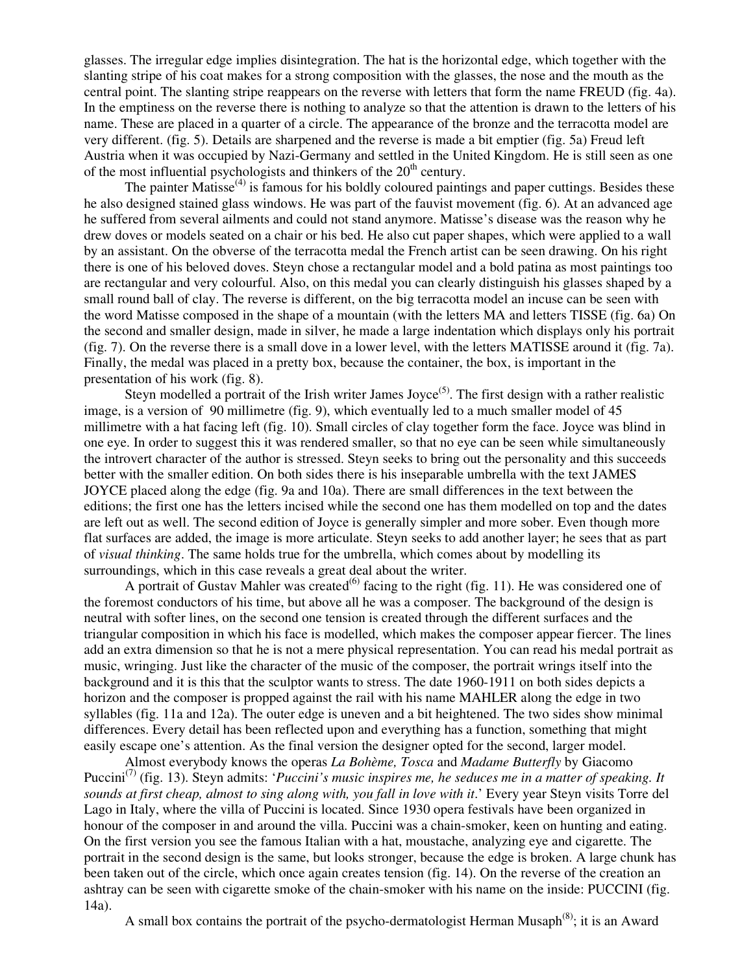glasses. The irregular edge implies disintegration. The hat is the horizontal edge, which together with the slanting stripe of his coat makes for a strong composition with the glasses, the nose and the mouth as the central point. The slanting stripe reappears on the reverse with letters that form the name FREUD (fig. 4a). In the emptiness on the reverse there is nothing to analyze so that the attention is drawn to the letters of his name. These are placed in a quarter of a circle. The appearance of the bronze and the terracotta model are very different. (fig. 5). Details are sharpened and the reverse is made a bit emptier (fig. 5a) Freud left Austria when it was occupied by Nazi-Germany and settled in the United Kingdom. He is still seen as one of the most influential psychologists and thinkers of the  $20<sup>th</sup>$  century.

The painter Matisse $^{(4)}$  is famous for his boldly coloured paintings and paper cuttings. Besides these he also designed stained glass windows. He was part of the fauvist movement (fig. 6). At an advanced age he suffered from several ailments and could not stand anymore. Matisse's disease was the reason why he drew doves or models seated on a chair or his bed. He also cut paper shapes, which were applied to a wall by an assistant. On the obverse of the terracotta medal the French artist can be seen drawing. On his right there is one of his beloved doves. Steyn chose a rectangular model and a bold patina as most paintings too are rectangular and very colourful. Also, on this medal you can clearly distinguish his glasses shaped by a small round ball of clay. The reverse is different, on the big terracotta model an incuse can be seen with the word Matisse composed in the shape of a mountain (with the letters MA and letters TISSE (fig. 6a) On the second and smaller design, made in silver, he made a large indentation which displays only his portrait (fig. 7). On the reverse there is a small dove in a lower level, with the letters MATISSE around it (fig. 7a). Finally, the medal was placed in a pretty box, because the container, the box, is important in the presentation of his work (fig. 8).

Steyn modelled a portrait of the Irish writer James Joyce<sup>(5)</sup>. The first design with a rather realistic image, is a version of 90 millimetre (fig. 9), which eventually led to a much smaller model of 45 millimetre with a hat facing left (fig. 10). Small circles of clay together form the face. Joyce was blind in one eye. In order to suggest this it was rendered smaller, so that no eye can be seen while simultaneously the introvert character of the author is stressed. Steyn seeks to bring out the personality and this succeeds better with the smaller edition. On both sides there is his inseparable umbrella with the text JAMES JOYCE placed along the edge (fig. 9a and 10a). There are small differences in the text between the editions; the first one has the letters incised while the second one has them modelled on top and the dates are left out as well. The second edition of Joyce is generally simpler and more sober. Even though more flat surfaces are added, the image is more articulate. Steyn seeks to add another layer; he sees that as part of *visual thinking*. The same holds true for the umbrella, which comes about by modelling its surroundings, which in this case reveals a great deal about the writer.

A portrait of Gustav Mahler was created<sup>(6)</sup> facing to the right (fig. 11). He was considered one of the foremost conductors of his time, but above all he was a composer. The background of the design is neutral with softer lines, on the second one tension is created through the different surfaces and the triangular composition in which his face is modelled, which makes the composer appear fiercer. The lines add an extra dimension so that he is not a mere physical representation. You can read his medal portrait as music, wringing. Just like the character of the music of the composer, the portrait wrings itself into the background and it is this that the sculptor wants to stress. The date 1960-1911 on both sides depicts a horizon and the composer is propped against the rail with his name MAHLER along the edge in two syllables (fig. 11a and 12a). The outer edge is uneven and a bit heightened. The two sides show minimal differences. Every detail has been reflected upon and everything has a function, something that might easily escape one's attention. As the final version the designer opted for the second, larger model.

 Almost everybody knows the operas *La Bohème, Tosca* and *Madame Butterfly* by Giacomo Puccini<sup>(7)</sup> (fig. 13). Steyn admits: '*Puccini's music inspires me, he seduces me in a matter of speaking. It sounds at first cheap, almost to sing along with, you fall in love with it*.' Every year Steyn visits Torre del Lago in Italy, where the villa of Puccini is located. Since 1930 opera festivals have been organized in honour of the composer in and around the villa. Puccini was a chain-smoker, keen on hunting and eating. On the first version you see the famous Italian with a hat, moustache, analyzing eye and cigarette. The portrait in the second design is the same, but looks stronger, because the edge is broken. A large chunk has been taken out of the circle, which once again creates tension (fig. 14). On the reverse of the creation an ashtray can be seen with cigarette smoke of the chain-smoker with his name on the inside: PUCCINI (fig. 14a).

A small box contains the portrait of the psycho-dermatologist Herman Musaph<sup>(8)</sup>; it is an Award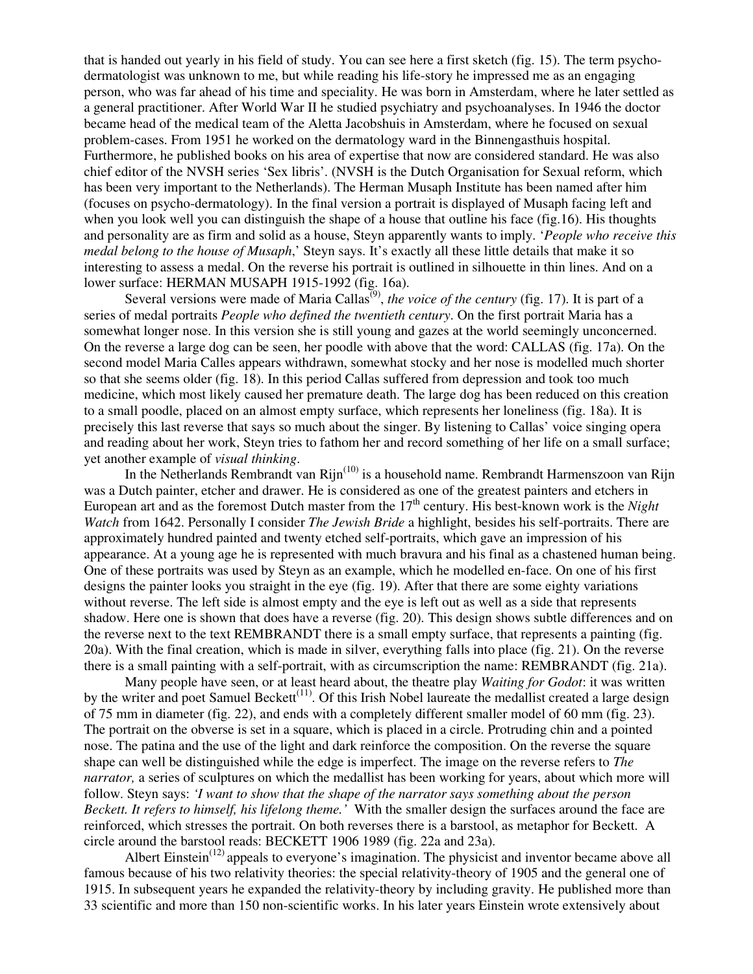that is handed out yearly in his field of study. You can see here a first sketch (fig. 15). The term psychodermatologist was unknown to me, but while reading his life-story he impressed me as an engaging person, who was far ahead of his time and speciality. He was born in Amsterdam, where he later settled as a general practitioner. After World War II he studied psychiatry and psychoanalyses. In 1946 the doctor became head of the medical team of the Aletta Jacobshuis in Amsterdam, where he focused on sexual problem-cases. From 1951 he worked on the dermatology ward in the Binnengasthuis hospital. Furthermore, he published books on his area of expertise that now are considered standard. He was also chief editor of the NVSH series 'Sex libris'. (NVSH is the Dutch Organisation for Sexual reform, which has been very important to the Netherlands). The Herman Musaph Institute has been named after him (focuses on psycho-dermatology). In the final version a portrait is displayed of Musaph facing left and when you look well you can distinguish the shape of a house that outline his face (fig.16). His thoughts and personality are as firm and solid as a house, Steyn apparently wants to imply. '*People who receive this medal belong to the house of Musaph*,' Steyn says. It's exactly all these little details that make it so interesting to assess a medal. On the reverse his portrait is outlined in silhouette in thin lines. And on a lower surface: HERMAN MUSAPH 1915-1992 (fig. 16a).

Several versions were made of Maria Callas<sup>(9)</sup>, *the voice of the century* (fig. 17). It is part of a series of medal portraits *People who defined the twentieth century*. On the first portrait Maria has a somewhat longer nose. In this version she is still young and gazes at the world seemingly unconcerned. On the reverse a large dog can be seen, her poodle with above that the word: CALLAS (fig. 17a). On the second model Maria Calles appears withdrawn, somewhat stocky and her nose is modelled much shorter so that she seems older (fig. 18). In this period Callas suffered from depression and took too much medicine, which most likely caused her premature death. The large dog has been reduced on this creation to a small poodle, placed on an almost empty surface, which represents her loneliness (fig. 18a). It is precisely this last reverse that says so much about the singer. By listening to Callas' voice singing opera and reading about her work, Steyn tries to fathom her and record something of her life on a small surface; yet another example of *visual thinking*.

In the Netherlands Rembrandt van Rijn<sup>(10)</sup> is a household name. Rembrandt Harmenszoon van Rijn was a Dutch painter, etcher and drawer. He is considered as one of the greatest painters and etchers in European art and as the foremost Dutch master from the 17<sup>th</sup> century. His best-known work is the *Night Watch* from 1642. Personally I consider *The Jewish Bride* a highlight, besides his self-portraits. There are approximately hundred painted and twenty etched self-portraits, which gave an impression of his appearance. At a young age he is represented with much bravura and his final as a chastened human being. One of these portraits was used by Steyn as an example, which he modelled en-face. On one of his first designs the painter looks you straight in the eye (fig. 19). After that there are some eighty variations without reverse. The left side is almost empty and the eye is left out as well as a side that represents shadow. Here one is shown that does have a reverse (fig. 20). This design shows subtle differences and on the reverse next to the text REMBRANDT there is a small empty surface, that represents a painting (fig. 20a). With the final creation, which is made in silver, everything falls into place (fig. 21). On the reverse there is a small painting with a self-portrait, with as circumscription the name: REMBRANDT (fig. 21a).

 Many people have seen, or at least heard about, the theatre play *Waiting for Godot*: it was written by the writer and poet Samuel Beckett<sup>(11)</sup>. Of this Irish Nobel laureate the medallist created a large design of 75 mm in diameter (fig. 22), and ends with a completely different smaller model of 60 mm (fig. 23). The portrait on the obverse is set in a square, which is placed in a circle. Protruding chin and a pointed nose. The patina and the use of the light and dark reinforce the composition. On the reverse the square shape can well be distinguished while the edge is imperfect. The image on the reverse refers to *The narrator,* a series of sculptures on which the medallist has been working for years, about which more will follow. Steyn says: *'I want to show that the shape of the narrator says something about the person Beckett. It refers to himself, his lifelong theme.'* With the smaller design the surfaces around the face are reinforced, which stresses the portrait. On both reverses there is a barstool, as metaphor for Beckett. A circle around the barstool reads: BECKETT 1906 1989 (fig. 22a and 23a).

Albert Einstein<sup>(12)</sup> appeals to everyone's imagination. The physicist and inventor became above all famous because of his two relativity theories: the special relativity-theory of 1905 and the general one of 1915. In subsequent years he expanded the relativity-theory by including gravity. He published more than 33 scientific and more than 150 non-scientific works. In his later years Einstein wrote extensively about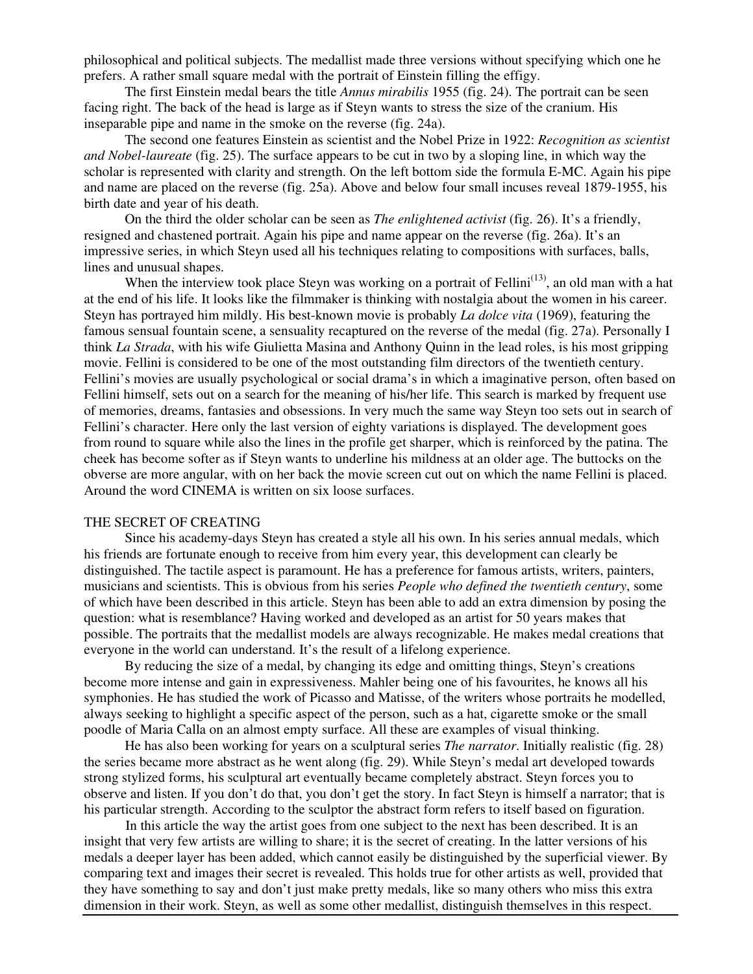philosophical and political subjects. The medallist made three versions without specifying which one he prefers. A rather small square medal with the portrait of Einstein filling the effigy.

 The first Einstein medal bears the title *Annus mirabilis* 1955 (fig. 24). The portrait can be seen facing right. The back of the head is large as if Steyn wants to stress the size of the cranium. His inseparable pipe and name in the smoke on the reverse (fig. 24a).

 The second one features Einstein as scientist and the Nobel Prize in 1922: *Recognition as scientist and Nobel-laureate* (fig. 25). The surface appears to be cut in two by a sloping line, in which way the scholar is represented with clarity and strength. On the left bottom side the formula E-MC. Again his pipe and name are placed on the reverse (fig. 25a). Above and below four small incuses reveal 1879-1955, his birth date and year of his death.

 On the third the older scholar can be seen as *The enlightened activist* (fig. 26). It's a friendly, resigned and chastened portrait. Again his pipe and name appear on the reverse (fig. 26a). It's an impressive series, in which Steyn used all his techniques relating to compositions with surfaces, balls, lines and unusual shapes.

When the interview took place Steyn was working on a portrait of Fellini<sup>(13)</sup>, an old man with a hat at the end of his life. It looks like the filmmaker is thinking with nostalgia about the women in his career. Steyn has portrayed him mildly. His best-known movie is probably *La dolce vita* (1969), featuring the famous sensual fountain scene, a sensuality recaptured on the reverse of the medal (fig. 27a). Personally I think *La Strada*, with his wife Giulietta Masina and Anthony Quinn in the lead roles, is his most gripping movie. Fellini is considered to be one of the most outstanding film directors of the twentieth century. Fellini's movies are usually psychological or social drama's in which a imaginative person, often based on Fellini himself, sets out on a search for the meaning of his/her life. This search is marked by frequent use of memories, dreams, fantasies and obsessions. In very much the same way Steyn too sets out in search of Fellini's character. Here only the last version of eighty variations is displayed. The development goes from round to square while also the lines in the profile get sharper, which is reinforced by the patina. The cheek has become softer as if Steyn wants to underline his mildness at an older age. The buttocks on the obverse are more angular, with on her back the movie screen cut out on which the name Fellini is placed. Around the word CINEMA is written on six loose surfaces.

### THE SECRET OF CREATING

 Since his academy-days Steyn has created a style all his own. In his series annual medals, which his friends are fortunate enough to receive from him every year, this development can clearly be distinguished. The tactile aspect is paramount. He has a preference for famous artists, writers, painters, musicians and scientists. This is obvious from his series *People who defined the twentieth century*, some of which have been described in this article. Steyn has been able to add an extra dimension by posing the question: what is resemblance? Having worked and developed as an artist for 50 years makes that possible. The portraits that the medallist models are always recognizable. He makes medal creations that everyone in the world can understand. It's the result of a lifelong experience.

 By reducing the size of a medal, by changing its edge and omitting things, Steyn's creations become more intense and gain in expressiveness. Mahler being one of his favourites, he knows all his symphonies. He has studied the work of Picasso and Matisse, of the writers whose portraits he modelled, always seeking to highlight a specific aspect of the person, such as a hat, cigarette smoke or the small poodle of Maria Calla on an almost empty surface. All these are examples of visual thinking.

 He has also been working for years on a sculptural series *The narrator*. Initially realistic (fig. 28) the series became more abstract as he went along (fig. 29). While Steyn's medal art developed towards strong stylized forms, his sculptural art eventually became completely abstract. Steyn forces you to observe and listen. If you don't do that, you don't get the story. In fact Steyn is himself a narrator; that is his particular strength. According to the sculptor the abstract form refers to itself based on figuration.

 In this article the way the artist goes from one subject to the next has been described. It is an insight that very few artists are willing to share; it is the secret of creating. In the latter versions of his medals a deeper layer has been added, which cannot easily be distinguished by the superficial viewer. By comparing text and images their secret is revealed. This holds true for other artists as well, provided that they have something to say and don't just make pretty medals, like so many others who miss this extra dimension in their work. Steyn, as well as some other medallist, distinguish themselves in this respect.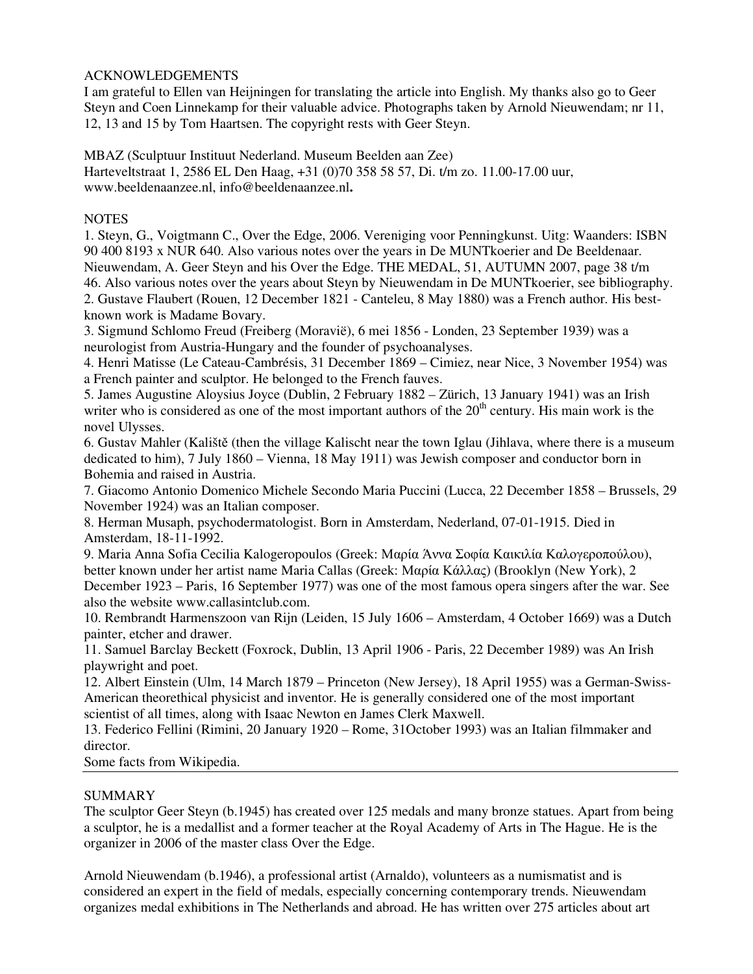# ACKNOWLEDGEMENTS

I am grateful to Ellen van Heijningen for translating the article into English. My thanks also go to Geer Steyn and Coen Linnekamp for their valuable advice. Photographs taken by Arnold Nieuwendam; nr 11, 12, 13 and 15 by Tom Haartsen. The copyright rests with Geer Steyn.

MBAZ (Sculptuur Instituut Nederland. Museum Beelden aan Zee) Harteveltstraat 1, 2586 EL Den Haag, +31 (0)70 358 58 57, Di. t/m zo. 11.00-17.00 uur, www.beeldenaanzee.nl, info@beeldenaanzee.nl**.** 

# **NOTES**

1. Steyn, G., Voigtmann C., Over the Edge, 2006. Vereniging voor Penningkunst. Uitg: Waanders: ISBN 90 400 8193 x NUR 640. Also various notes over the years in De MUNTkoerier and De Beeldenaar. Nieuwendam, A. Geer Steyn and his Over the Edge. THE MEDAL, 51, AUTUMN 2007, page 38 t/m 46. Also various notes over the years about Steyn by Nieuwendam in De MUNTkoerier, see bibliography. 2. Gustave Flaubert (Rouen, 12 December 1821 - Canteleu, 8 May 1880) was a French author. His bestknown work is Madame Bovary.

3. Sigmund Schlomo Freud (Freiberg (Moravië), 6 mei 1856 - Londen, 23 September 1939) was a neurologist from Austria-Hungary and the founder of psychoanalyses.

4. Henri Matisse (Le Cateau-Cambrésis, 31 December 1869 – Cimiez, near Nice, 3 November 1954) was a French painter and sculptor. He belonged to the French fauves.

5. James Augustine Aloysius Joyce (Dublin, 2 February 1882 – Zürich, 13 January 1941) was an Irish writer who is considered as one of the most important authors of the  $20<sup>th</sup>$  century. His main work is the novel Ulysses.

6. Gustav Mahler (Kaliště (then the village Kalischt near the town Iglau (Jihlava, where there is a museum dedicated to him), 7 July 1860 – Vienna, 18 May 1911) was Jewish composer and conductor born in Bohemia and raised in Austria.

7. Giacomo Antonio Domenico Michele Secondo Maria Puccini (Lucca, 22 December 1858 – Brussels, 29 November 1924) was an Italian composer.

8. Herman Musaph, psychodermatologist. Born in Amsterdam, Nederland, 07-01-1915. Died in Amsterdam, 18-11-1992.

9. Maria Anna Sofia Cecilia Kalogeropoulos (Greek: Μαρία Άννα Σοφία Καικιλία Καλογεροπούλου), better known under her artist name Maria Callas (Greek: Μαρία Κάλλας) (Brooklyn (New York), 2 December 1923 – Paris, 16 September 1977) was one of the most famous opera singers after the war. See also the website www.callasintclub.com.

10. Rembrandt Harmenszoon van Rijn (Leiden, 15 July 1606 – Amsterdam, 4 October 1669) was a Dutch painter, etcher and drawer.

11. Samuel Barclay Beckett (Foxrock, Dublin, 13 April 1906 - Paris, 22 December 1989) was An Irish playwright and poet.

12. Albert Einstein (Ulm, 14 March 1879 – Princeton (New Jersey), 18 April 1955) was a German-Swiss-American theorethical physicist and inventor. He is generally considered one of the most important scientist of all times, along with Isaac Newton en James Clerk Maxwell.

13. Federico Fellini (Rimini, 20 January 1920 – Rome, 31October 1993) was an Italian filmmaker and director.

Some facts from Wikipedia.

# SUMMARY

The sculptor Geer Steyn (b.1945) has created over 125 medals and many bronze statues. Apart from being a sculptor, he is a medallist and a former teacher at the Royal Academy of Arts in The Hague. He is the organizer in 2006 of the master class Over the Edge.

Arnold Nieuwendam (b.1946), a professional artist (Arnaldo), volunteers as a numismatist and is considered an expert in the field of medals, especially concerning contemporary trends. Nieuwendam organizes medal exhibitions in The Netherlands and abroad. He has written over 275 articles about art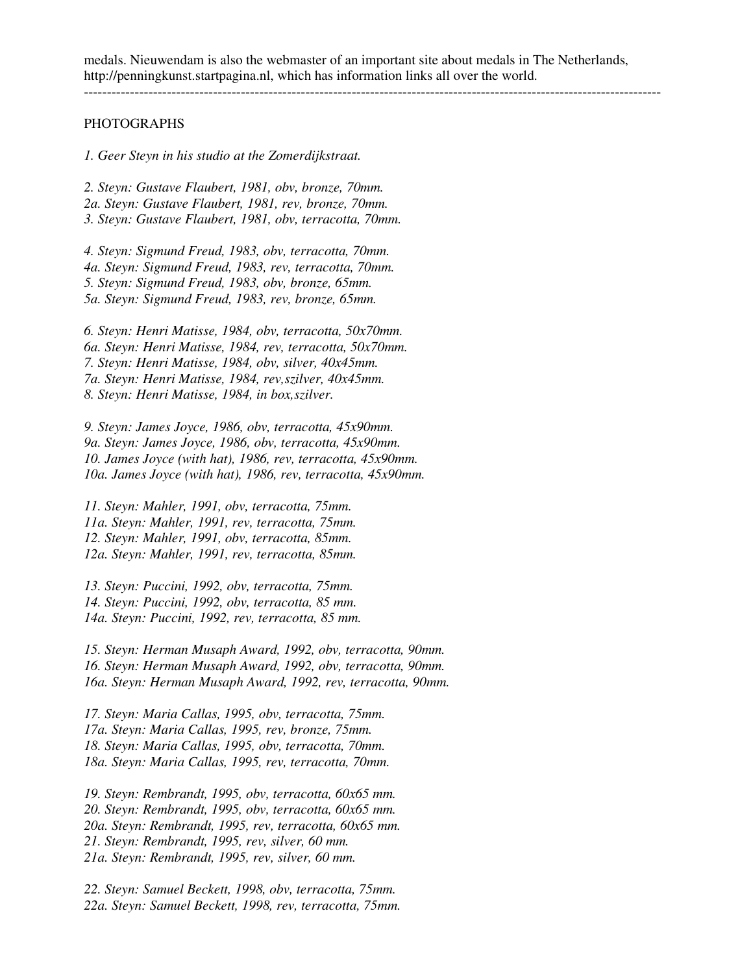### PHOTOGRAPHS

*1. Geer Steyn in his studio at the Zomerdijkstraat.* 

*2. Steyn: Gustave Flaubert, 1981, obv, bronze, 70mm. 2a. Steyn: Gustave Flaubert, 1981, rev, bronze, 70mm. 3. Steyn: Gustave Flaubert, 1981, obv, terracotta, 70mm.* 

*4. Steyn: Sigmund Freud, 1983, obv, terracotta, 70mm. 4a. Steyn: Sigmund Freud, 1983, rev, terracotta, 70mm. 5. Steyn: Sigmund Freud, 1983, obv, bronze, 65mm. 5a. Steyn: Sigmund Freud, 1983, rev, bronze, 65mm.* 

*6. Steyn: Henri Matisse, 1984, obv, terracotta, 50x70mm. 6a. Steyn: Henri Matisse, 1984, rev, terracotta, 50x70mm. 7. Steyn: Henri Matisse, 1984, obv, silver, 40x45mm. 7a. Steyn: Henri Matisse, 1984, rev,szilver, 40x45mm. 8. Steyn: Henri Matisse, 1984, in box,szilver.* 

*9. Steyn: James Joyce, 1986, obv, terracotta, 45x90mm. 9a. Steyn: James Joyce, 1986, obv, terracotta, 45x90mm. 10. James Joyce (with hat), 1986, rev, terracotta, 45x90mm. 10a. James Joyce (with hat), 1986, rev, terracotta, 45x90mm.* 

*11. Steyn: Mahler, 1991, obv, terracotta, 75mm. 11a. Steyn: Mahler, 1991, rev, terracotta, 75mm. 12. Steyn: Mahler, 1991, obv, terracotta, 85mm. 12a. Steyn: Mahler, 1991, rev, terracotta, 85mm.* 

*13. Steyn: Puccini, 1992, obv, terracotta, 75mm. 14. Steyn: Puccini, 1992, obv, terracotta, 85 mm. 14a. Steyn: Puccini, 1992, rev, terracotta, 85 mm.* 

*15. Steyn: Herman Musaph Award, 1992, obv, terracotta, 90mm. 16. Steyn: Herman Musaph Award, 1992, obv, terracotta, 90mm. 16a. Steyn: Herman Musaph Award, 1992, rev, terracotta, 90mm.* 

*17. Steyn: Maria Callas, 1995, obv, terracotta, 75mm. 17a. Steyn: Maria Callas, 1995, rev, bronze, 75mm. 18. Steyn: Maria Callas, 1995, obv, terracotta, 70mm. 18a. Steyn: Maria Callas, 1995, rev, terracotta, 70mm.* 

*19. Steyn: Rembrandt, 1995, obv, terracotta, 60x65 mm. 20. Steyn: Rembrandt, 1995, obv, terracotta, 60x65 mm. 20a. Steyn: Rembrandt, 1995, rev, terracotta, 60x65 mm. 21. Steyn: Rembrandt, 1995, rev, silver, 60 mm. 21a. Steyn: Rembrandt, 1995, rev, silver, 60 mm.* 

*22. Steyn: Samuel Beckett, 1998, obv, terracotta, 75mm. 22a. Steyn: Samuel Beckett, 1998, rev, terracotta, 75mm.*